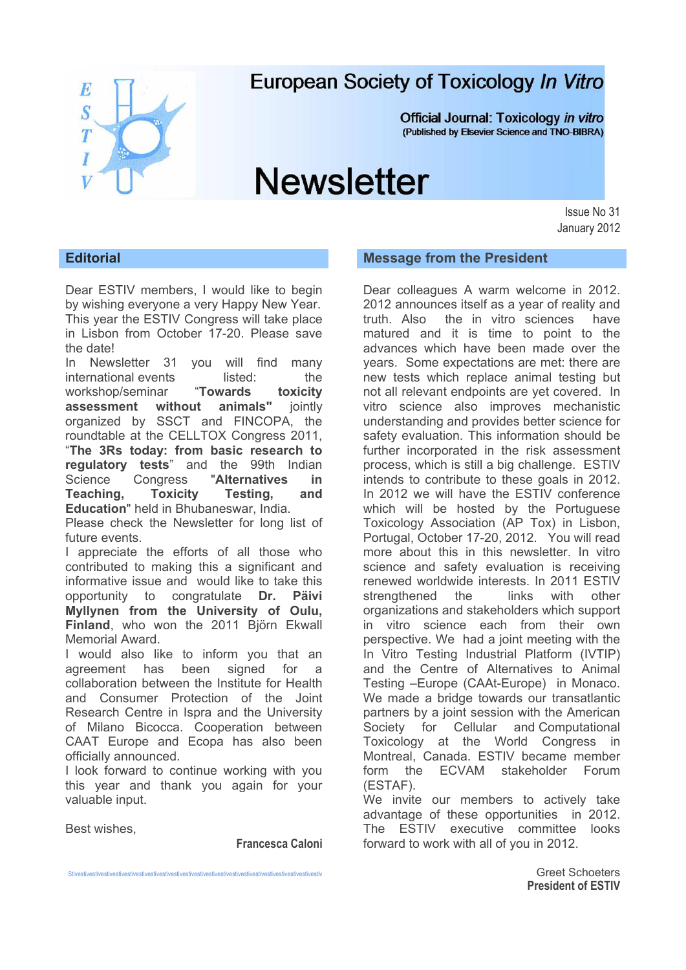

# **European Society of Toxicology In Vitro**

Official Journal: Toxicology in vitro (Published by Elsevier Science and TNO-BIBRA)

# **Newsletter**

Issue No 31 January 2012

## **Editorial**

Dear ESTIV members, I would like to begin by wishing everyone a very Happy New Year. This year the ESTIV Congress will take place in Lisbon from October 17-20. Please save the date!

In Newsletter 31 you will find many international events listed: the workshop/seminar "Towards toxicity<br>assessment without animals" jointly **assessment without animals"** jointly organized by SSCT and FINCOPA, the roundtable at the CELLTOX Congress 2011, "**The 3Rs today: from basic research to regulatory tests**" and the 99th Indian Science Congress "**Alternatives in Teaching, Toxicity Testing, and Education**" held in Bhubaneswar, India.

Please check the Newsletter for long list of future events.

I appreciate the efforts of all those who contributed to making this a significant and informative issue and would like to take this opportunity to congratulate **Dr. Päivi Myllynen from the University of Oulu, Finland**, who won the 2011 Björn Ekwall Memorial Award.

I would also like to inform you that an agreement has been signed for a collaboration between the Institute for Health and Consumer Protection of the Joint Research Centre in Ispra and the University of Milano Bicocca. Cooperation between CAAT Europe and Ecopa has also been officially announced.

I look forward to continue working with you this year and thank you again for your valuable input.

Best wishes,

**Francesca Caloni** 

#### **Message from the President**

Dear colleagues A warm welcome in 2012. 2012 announces itself as a year of reality and truth. Also the in vitro sciences have matured and it is time to point to the advances which have been made over the years. Some expectations are met: there are new tests which replace animal testing but not all relevant endpoints are yet covered. In vitro science also improves mechanistic understanding and provides better science for safety evaluation. This information should be further incorporated in the risk assessment process, which is still a big challenge. ESTIV intends to contribute to these goals in 2012. In 2012 we will have the ESTIV conference which will be hosted by the Portuguese Toxicology Association (AP Tox) in Lisbon, Portugal, October 17-20, 2012. You will read more about this in this newsletter. In vitro science and safety evaluation is receiving renewed worldwide interests. In 2011 ESTIV strengthened the links with other organizations and stakeholders which support in vitro science each from their own perspective. We had a joint meeting with the In Vitro Testing Industrial Platform (IVTIP) and the Centre of Alternatives to Animal Testing –Europe (CAAt-Europe) in Monaco. We made a bridge towards our transatlantic partners by a joint session with the American Society for Cellular and Computational Toxicology at the World Congress in Montreal, Canada. ESTIV became member form the ECVAM stakeholder Forum (ESTAF).

We invite our members to actively take advantage of these opportunities in 2012. The ESTIV executive committee looks forward to work with all of you in 2012.

> Greet Schoeters **President of ESTIV**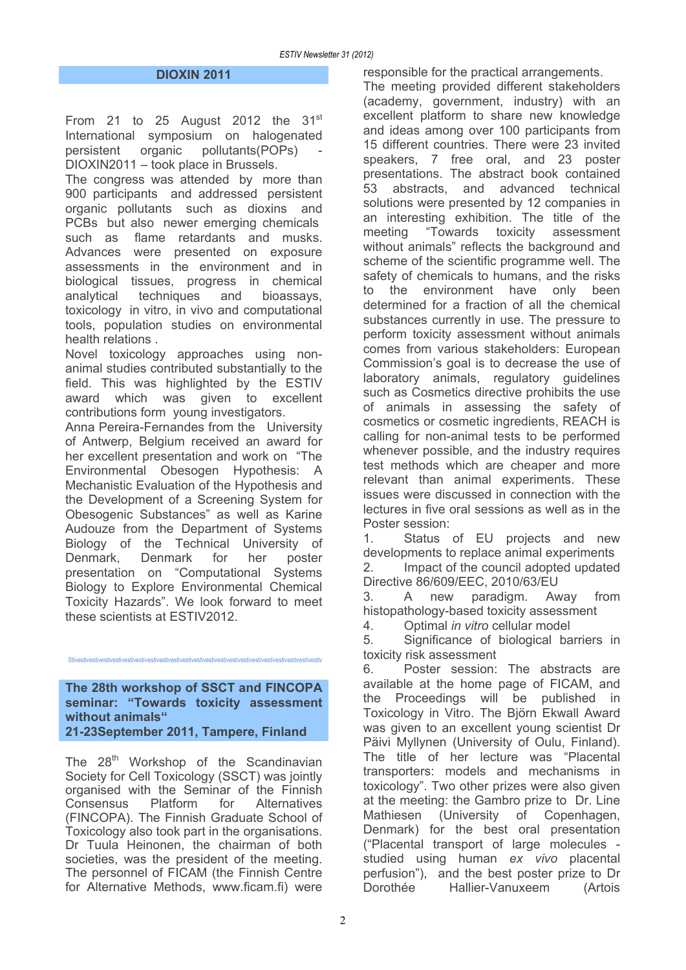#### **DIOXIN 2011**

From 21 to 25 August 2012 the  $31<sup>st</sup>$ International symposium on halogenated persistent organic pollutants(POPs) DIOXIN2011 – took place in Brussels.

The congress was attended by more than 900 participants and addressed persistent organic pollutants such as dioxins and PCBs but also newer emerging chemicals such as flame retardants and musks. Advances were presented on exposure assessments in the environment and in biological tissues, progress in chemical analytical techniques and bioassays, toxicology in vitro, in vivo and computational tools, population studies on environmental health relations .

Novel toxicology approaches using nonanimal studies contributed substantially to the field. This was highlighted by the ESTIV award which was given to excellent contributions form young investigators.

Anna Pereira-Fernandes from the University of Antwerp, Belgium received an award for her excellent presentation and work on "The Environmental Obesogen Hypothesis: A Mechanistic Evaluation of the Hypothesis and the Development of a Screening System for Obesogenic Substances" as well as Karine Audouze from the Department of Systems Biology of the Technical University of Denmark, Denmark for her poster presentation on "Computational Systems Biology to Explore Environmental Chemical Toxicity Hazards". We look forward to meet these scientists at ESTIV2012.

**The 28th workshop of SSCT and FINCOPA seminar: "Towards toxicity assessment without animals" 21-23September 2011, Tampere, Finland**

Stivestivestivestivestivestivestivestivestivestivestivestivestivestivestivestivestivestivestivestivestivestiv

The 28<sup>th</sup> Workshop of the Scandinavian Society for Cell Toxicology (SSCT) was jointly organised with the Seminar of the Finnish Consensus Platform for Alternatives (FINCOPA). The Finnish Graduate School of Toxicology also took part in the organisations. Dr Tuula Heinonen, the chairman of both societies, was the president of the meeting. The personnel of FICAM (the Finnish Centre for Alternative Methods, www.ficam.fi) were

responsible for the practical arrangements.

The meeting provided different stakeholders (academy, government, industry) with an excellent platform to share new knowledge and ideas among over 100 participants from 15 different countries. There were 23 invited speakers, 7 free oral, and 23 poster presentations. The abstract book contained 53 abstracts, and advanced technical solutions were presented by 12 companies in an interesting exhibition. The title of the meeting "Towards toxicity assessment without animals" reflects the background and scheme of the scientific programme well. The safety of chemicals to humans, and the risks to the environment have only been determined for a fraction of all the chemical substances currently in use. The pressure to perform toxicity assessment without animals comes from various stakeholders: European Commission's goal is to decrease the use of laboratory animals, regulatory guidelines such as Cosmetics directive prohibits the use of animals in assessing the safety of cosmetics or cosmetic ingredients, REACH is calling for non-animal tests to be performed whenever possible, and the industry requires test methods which are cheaper and more relevant than animal experiments. These issues were discussed in connection with the lectures in five oral sessions as well as in the Poster session:

1. Status of EU projects and new developments to replace animal experiments 2. Impact of the council adopted updated

Directive 86/609/EEC, 2010/63/EU

3. A new paradigm. Away from histopathology-based toxicity assessment

4. Optimal *in vitro* cellular model

5. Significance of biological barriers in toxicity risk assessment

6. Poster session: The abstracts are available at the home page of FICAM, and the Proceedings will be published in Toxicology in Vitro. The Björn Ekwall Award was given to an excellent young scientist Dr Päivi Myllynen (University of Oulu, Finland). The title of her lecture was "Placental transporters: models and mechanisms in toxicology". Two other prizes were also given at the meeting: the Gambro prize to Dr. Line Mathiesen (University of Copenhagen, Denmark) for the best oral presentation ("Placental transport of large molecules studied using human *ex vivo* placental perfusion"), and the best poster prize to Dr Dorothée Hallier-Vanuxeem (Artois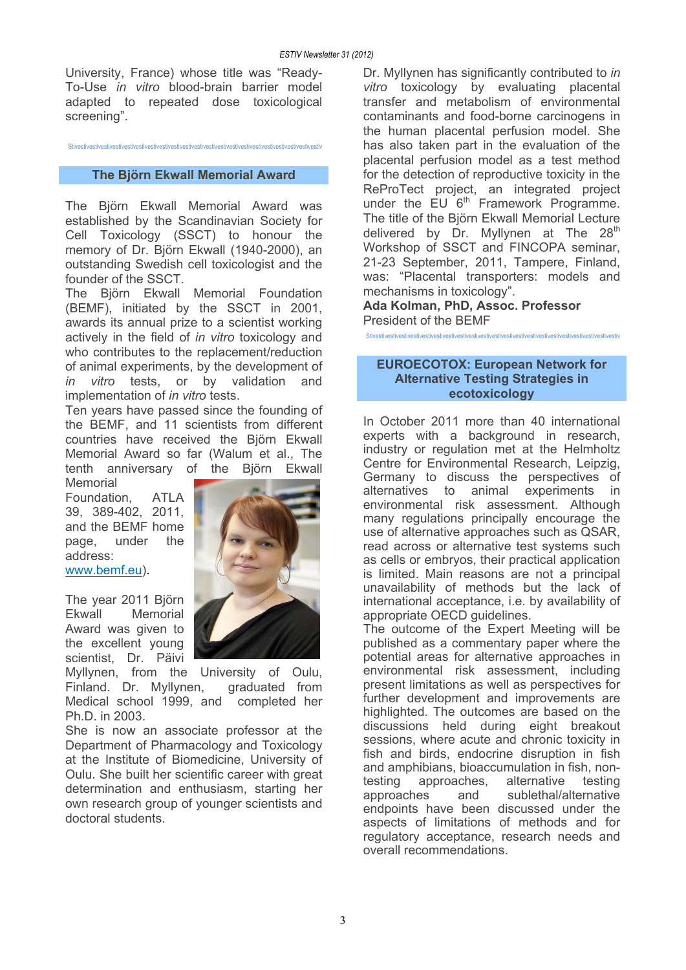University, France) whose title was "Ready-To-Use *in vitro* blood-brain barrier model adapted to repeated dose toxicological screening".

#### Stivestivestivestivestivestivestivestivestivestivestivestivestivestivestivestivestivestivestivestivestivestiv

#### **The Björn Ekwall Memorial Award**

The Björn Ekwall Memorial Award was established by the Scandinavian Society for Cell Toxicology (SSCT) to honour the memory of Dr. Björn Ekwall (1940-2000), an outstanding Swedish cell toxicologist and the founder of the SSCT.

The Björn Ekwall Memorial Foundation (BEMF), initiated by the SSCT in 2001, awards its annual prize to a scientist working actively in the field of *in vitro* toxicology and who contributes to the replacement/reduction of animal experiments, by the development of *in vitro* tests, or by validation and implementation of *in vitro* tests.

Ten years have passed since the founding of the BEMF, and 11 scientists from different countries have received the Björn Ekwall Memorial Award so far (Walum et al., The tenth anniversary of the Björn Ekwall

Memorial Foundation, ATLA 39, 389-402, 2011,

and the BEMF home page, under the address: www.bemf.eu).

The year 2011 Björn Ekwall Memorial Award was given to the excellent young scientist, Dr. Päivi



Myllynen, from the University of Oulu, Finland. Dr. Myllynen, graduated from Medical school 1999, and completed her Ph.D. in 2003.

She is now an associate professor at the Department of Pharmacology and Toxicology at the Institute of Biomedicine, University of Oulu. She built her scientific career with great determination and enthusiasm, starting her own research group of younger scientists and doctoral students.

Dr. Myllynen has significantly contributed to *in vitro* toxicology by evaluating placental transfer and metabolism of environmental contaminants and food-borne carcinogens in the human placental perfusion model. She has also taken part in the evaluation of the placental perfusion model as a test method for the detection of reproductive toxicity in the ReProTect project, an integrated project under the EU 6<sup>th</sup> Framework Programme. The title of the Björn Ekwall Memorial Lecture delivered by Dr. Myllynen at The 28<sup>th</sup> Workshop of SSCT and FINCOPA seminar, 21-23 September, 2011, Tampere, Finland, was: "Placental transporters: models and mechanisms in toxicology".

**Ada Kolman, PhD, Assoc. Professor**  President of the BEMF

Stivestivestivestivestivestivestivestivestivestivestivestivestivestivestivestivestivestivestivestivestivestiv

#### **EUROECOTOX: European Network for Alternative Testing Strategies in ecotoxicology**

In October 2011 more than 40 international experts with a background in research, industry or regulation met at the Helmholtz Centre for Environmental Research, Leipzig, Germany to discuss the perspectives of alternatives to animal experiments in environmental risk assessment. Although many regulations principally encourage the use of alternative approaches such as QSAR, read across or alternative test systems such as cells or embryos, their practical application is limited. Main reasons are not a principal unavailability of methods but the lack of international acceptance, i.e. by availability of appropriate OECD guidelines.

The outcome of the Expert Meeting will be published as a commentary paper where the potential areas for alternative approaches in environmental risk assessment, including present limitations as well as perspectives for further development and improvements are highlighted. The outcomes are based on the discussions held during eight breakout sessions, where acute and chronic toxicity in fish and birds, endocrine disruption in fish and amphibians, bioaccumulation in fish, non-<br>testing approaches, alternative testing testing approaches, alternative testing approaches and sublethal/alternative endpoints have been discussed under the aspects of limitations of methods and for regulatory acceptance, research needs and overall recommendations.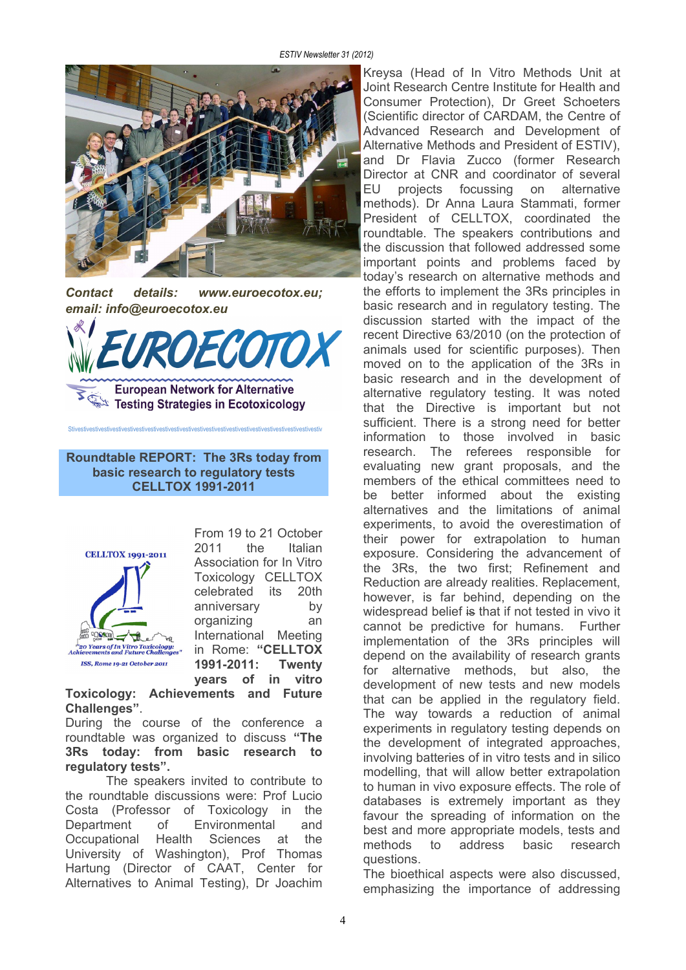

*Contact details: www.euroecotox.eu; email: info@euroecotox.eu* 



**Roundtable REPORT: The 3Rs today from basic research to regulatory tests CELLTOX 1991-2011** 

Stivestivestivestivestivestivestivestivestivestivestivestivestivestivestivestivestivestivestivestivestivestiv



From 19 to 21 October 2011 the Italian Association for In Vitro Toxicology CELLTOX celebrated its 20th anniversary by organizing an International Meeting in Rome: **"CELLTOX 1991-2011: Twenty years of in vitro** 

**Toxicology: Achievements and Future Challenges"**.

During the course of the conference a roundtable was organized to discuss **"The 3Rs today: from basic research to regulatory tests".** 

 The speakers invited to contribute to the roundtable discussions were: Prof Lucio Costa (Professor of Toxicology in the Department of Environmental and Occupational Health Sciences at the University of Washington), Prof Thomas Hartung (Director of CAAT, Center for Alternatives to Animal Testing), Dr Joachim Kreysa (Head of In Vitro Methods Unit at Joint Research Centre Institute for Health and Consumer Protection), Dr Greet Schoeters (Scientific director of CARDAM, the Centre of Advanced Research and Development of Alternative Methods and President of ESTIV), and Dr Flavia Zucco (former Research Director at CNR and coordinator of several EU projects focussing on alternative methods). Dr Anna Laura Stammati, former President of CELLTOX, coordinated the roundtable. The speakers contributions and the discussion that followed addressed some important points and problems faced by today's research on alternative methods and the efforts to implement the 3Rs principles in basic research and in regulatory testing. The discussion started with the impact of the recent Directive 63/2010 (on the protection of animals used for scientific purposes). Then moved on to the application of the 3Rs in basic research and in the development of alternative regulatory testing. It was noted that the Directive is important but not sufficient. There is a strong need for better information to those involved in basic research. The referees responsible for evaluating new grant proposals, and the members of the ethical committees need to be better informed about the existing alternatives and the limitations of animal experiments, to avoid the overestimation of their power for extrapolation to human exposure. Considering the advancement of the 3Rs, the two first; Refinement and Reduction are already realities. Replacement, however, is far behind, depending on the widespread belief is that if not tested in vivo it cannot be predictive for humans. Further implementation of the 3Rs principles will depend on the availability of research grants for alternative methods, but also, the development of new tests and new models that can be applied in the regulatory field. The way towards a reduction of animal experiments in regulatory testing depends on the development of integrated approaches, involving batteries of in vitro tests and in silico modelling, that will allow better extrapolation to human in vivo exposure effects. The role of databases is extremely important as they favour the spreading of information on the best and more appropriate models, tests and methods to address basic research questions.

The bioethical aspects were also discussed, emphasizing the importance of addressing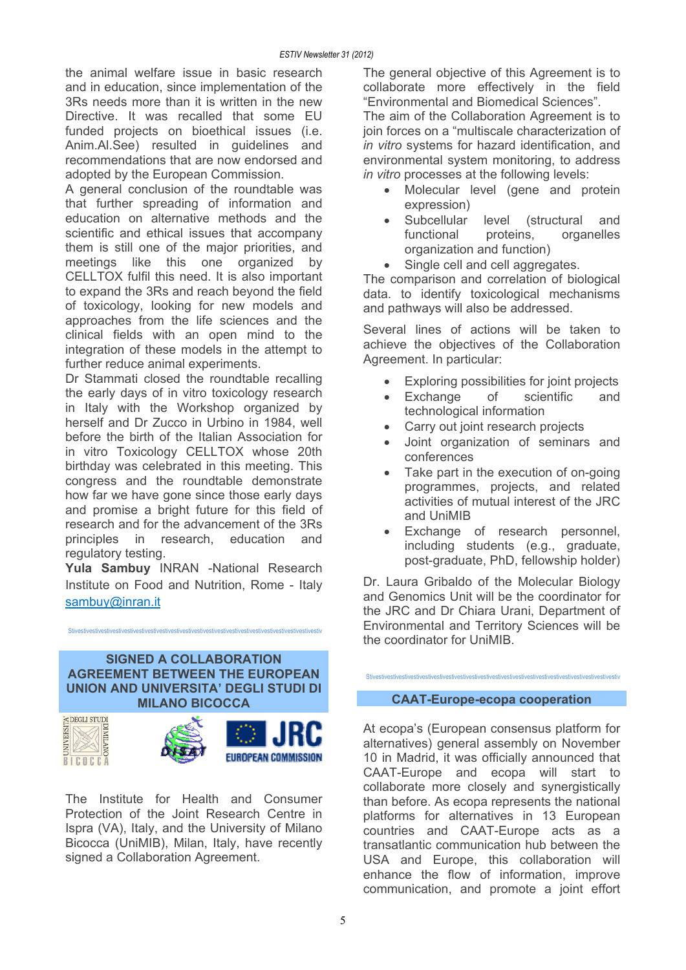the animal welfare issue in basic research and in education, since implementation of the 3Rs needs more than it is written in the new Directive. It was recalled that some EU funded projects on bioethical issues (i.e. Anim.Al.See) resulted in guidelines and recommendations that are now endorsed and adopted by the European Commission.

A general conclusion of the roundtable was that further spreading of information and education on alternative methods and the scientific and ethical issues that accompany them is still one of the major priorities, and meetings like this one organized by CELLTOX fulfil this need. It is also important to expand the 3Rs and reach beyond the field of toxicology, looking for new models and approaches from the life sciences and the clinical fields with an open mind to the integration of these models in the attempt to further reduce animal experiments.

Dr Stammati closed the roundtable recalling the early days of in vitro toxicology research in Italy with the Workshop organized by herself and Dr Zucco in Urbino in 1984, well before the birth of the Italian Association for in vitro Toxicology CELLTOX whose 20th birthday was celebrated in this meeting. This congress and the roundtable demonstrate how far we have gone since those early days and promise a bright future for this field of research and for the advancement of the 3Rs principles in research, education and regulatory testing.

**Yula Sambuy** INRAN -National Research Institute on Food and Nutrition, Rome - Italy sambuy@inran.it

Stivestivestivestivestivestivestivestivestivestivestivestivestivestivestivestivestivestivestivestivestivestiv

#### **SIGNED A COLLABORATION AGREEMENT BETWEEN THE EUROPEAN UNION AND UNIVERSITA' DEGLI STUDI DI MILANO BICOCCA**



The Institute for Health and Consumer Protection of the Joint Research Centre in Ispra (VA), Italy, and the University of Milano Bicocca (UniMIB), Milan, Italy, have recently signed a Collaboration Agreement.

The general objective of this Agreement is to collaborate more effectively in the field "Environmental and Biomedical Sciences". The aim of the Collaboration Agreement is to join forces on a "multiscale characterization of

*in vitro* systems for hazard identification, and environmental system monitoring, to address *in vitro* processes at the following levels:

- Molecular level (gene and protein expression)
- Subcellular level (structural and functional proteins, organelles organization and function)
- Single cell and cell aggregates.

The comparison and correlation of biological data. to identify toxicological mechanisms and pathways will also be addressed.

Several lines of actions will be taken to achieve the objectives of the Collaboration Agreement. In particular:

- Exploring possibilities for joint projects
- Exchange of scientific and technological information
- Carry out joint research projects
- Joint organization of seminars and conferences
- Take part in the execution of on-going programmes, projects, and related activities of mutual interest of the JRC and UniMIB
- Exchange of research personnel, including students (e.g., graduate, post-graduate, PhD, fellowship holder)

Dr. Laura Gribaldo of the Molecular Biology and Genomics Unit will be the coordinator for the JRC and Dr Chiara Urani, Department of Environmental and Territory Sciences will be the coordinator for UniMIB.

# Stivestivestivestivestivestivestivestivestivestivestivestivestivestivestivestivestivestivestivestivestivestiv

## **CAAT-Europe-ecopa cooperation**

At ecopa's (European consensus platform for alternatives) general assembly on November 10 in Madrid, it was officially announced that CAAT-Europe and ecopa will start to collaborate more closely and synergistically than before. As ecopa represents the national platforms for alternatives in 13 European countries and CAAT-Europe acts as a transatlantic communication hub between the USA and Europe, this collaboration will enhance the flow of information, improve communication, and promote a joint effort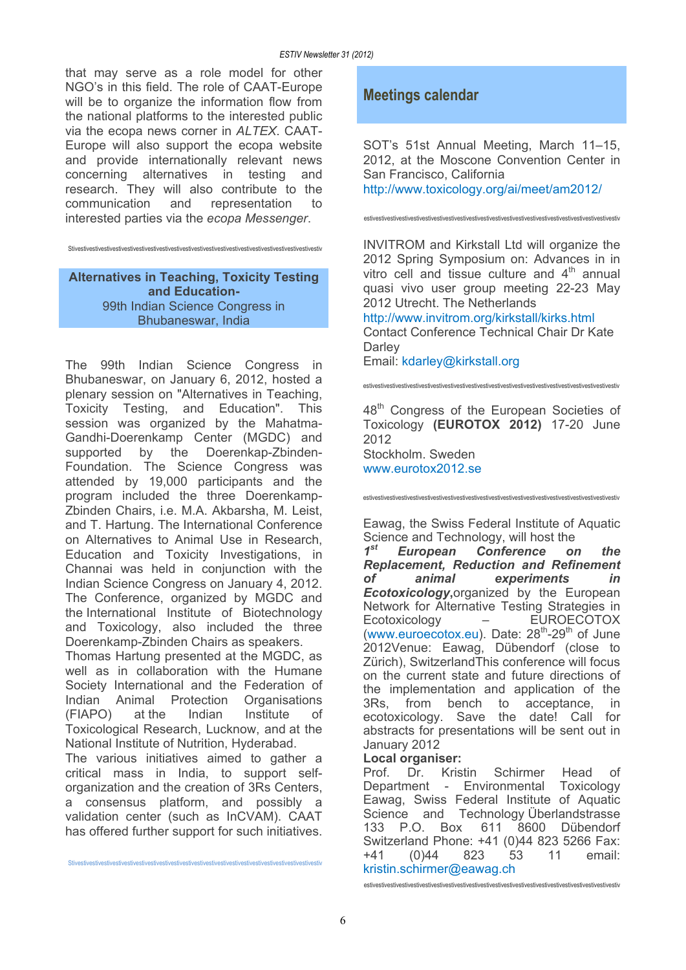that may serve as a role model for other NGO's in this field. The role of CAAT-Europe will be to organize the information flow from the national platforms to the interested public via the ecopa news corner in *ALTEX*. CAAT-Europe will also support the ecopa website and provide internationally relevant news concerning alternatives in testing and research. They will also contribute to the communication and representation to interested parties via the *ecopa Messenger*.

Stivestivestivestivestivestivestivestivestivestivestivestivestivestivestivestivestivestivestivestivestivestiv

**Alternatives in Teaching, Toxicity Testing and Education-**99th Indian Science Congress in Bhubaneswar, India

The 99th Indian Science Congress in Bhubaneswar, on January 6, 2012, hosted a plenary session on "Alternatives in Teaching, Toxicity Testing, and Education". This session was organized by the Mahatma-Gandhi-Doerenkamp Center (MGDC) and supported by the Doerenkap-Zbinden-Foundation. The Science Congress was attended by 19,000 participants and the program included the three Doerenkamp-Zbinden Chairs, i.e. M.A. Akbarsha, M. Leist, and T. Hartung. The International Conference on Alternatives to Animal Use in Research, Education and Toxicity Investigations, in Channai was held in conjunction with the Indian Science Congress on January 4, 2012. The Conference, organized by MGDC and the International Institute of Biotechnology and Toxicology, also included the three Doerenkamp-Zbinden Chairs as speakers.

Thomas Hartung presented at the MGDC, as well as in collaboration with the Humane Society International and the Federation of Indian Animal Protection Organisations (FIAPO) at the Indian Institute of Toxicological Research, Lucknow, and at the National Institute of Nutrition, Hyderabad.

The various initiatives aimed to gather a critical mass in India, to support selforganization and the creation of 3Rs Centers, a consensus platform, and possibly a validation center (such as InCVAM). CAAT has offered further support for such initiatives.

Stivestivestivestivestivestivestivestivestivestivestivestivestivestivestivestivestivestivestivestivestivestiv

# **Meetings calendar**

SOT's 51st Annual Meeting, March 11–15, 2012, at the Moscone Convention Center in San Francisco, California http://www.toxicology.org/ai/meet/am2012/

estivestivestivestivestivestivestivestivestivestivestivestivestivestivestivestivestivestivestivestivestivestiv

INVITROM and Kirkstall Ltd will organize the 2012 Spring Symposium on: Advances in in vitro cell and tissue culture and  $4<sup>th</sup>$  annual quasi vivo user group meeting 22-23 May 2012 Utrecht. The Netherlands

http://www.invitrom.org/kirkstall/kirks.html Contact Conference Technical Chair Dr Kate **Darley** 

Email: kdarley@kirkstall.org

estivestivestivestivestivestivestivestivestivestivestivestivestivestivestivestivestivestivestivestivestivestiv

48<sup>th</sup> Congress of the European Societies of Toxicology **(EUROTOX 2012)** 17-20 June 2012

Stockholm. Sweden www.eurotox2012.se

Eawag, the Swiss Federal Institute of Aquatic Science and Technology, will host the

estivestivestivestivestivestivestivestivestivestivestivestivestivestivestivestivestivestivestivestivestivestiv

*1st European Conference on the Replacement, Reduction and Refinement of animal experiments in Ecotoxicology***,**organized by the European Network for Alternative Testing Strategies in Ecotoxicology – EUROECOTOX (www.euroecotox.eu). Date:  $28<sup>th</sup> - 29<sup>th</sup>$  of June 2012Venue: Eawag, Dübendorf (close to Zürich), SwitzerlandThis conference will focus on the current state and future directions of the implementation and application of the 3Rs, from bench to acceptance, in ecotoxicology. Save the date! Call for abstracts for presentations will be sent out in January 2012

#### **Local organiser:**

Prof. Dr. Kristin Schirmer Head of Department - Environmental Toxicology Eawag, Swiss Federal Institute of Aquatic Science and Technology Überlandstrasse<br>133 P.O. Box 611 8600 Dübendorf 133 P.O. Box 611 Switzerland Phone: +41 (0)44 823 5266 Fax:<br>+41 (0)44 823 53 11 email: +41 (0)44 823 53 11 email: kristin.schirmer@eawag.ch

estivestivestivestivestivestivestivestivestivestivestivestivestivestivestivestivestivestivestivestivestivestiv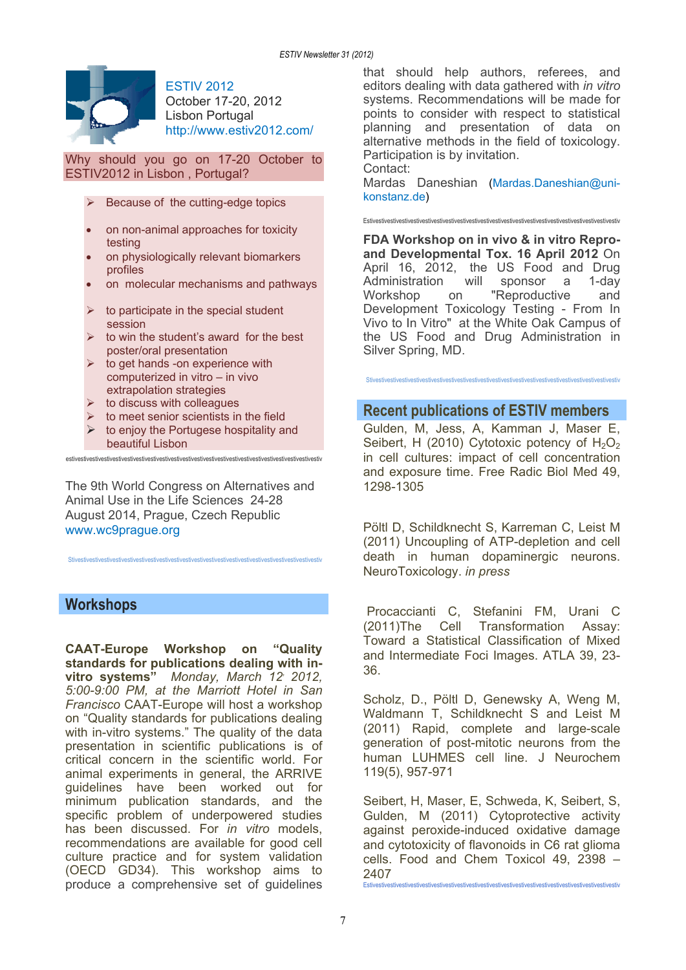

**ESTIV 2012** October 17-20, 2012 Lisbon Portugal http://www.estiv2012.com/

Why should you go on 17-20 October to ESTIV2012 in Lisbon , Portugal?

- Because of the cutting-edge topics
- on non-animal approaches for toxicity testing
- on physiologically relevant biomarkers profiles
- on molecular mechanisms and pathways
- $\triangleright$  to participate in the special student session
- $\triangleright$  to win the student's award for the best poster/oral presentation
- $\triangleright$  to get hands -on experience with computerized in vitro – in vivo extrapolation strategies
- $\triangleright$  to discuss with colleagues
- $\triangleright$  to meet senior scientists in the field
- $\triangleright$  to enjoy the Portugese hospitality and beautiful Lisbon

estivestivestivestivestivestivestivestivestivestivestivestivestivestivestivestivestivestivestivestivestivestiv

The 9th World Congress on Alternatives and Animal Use in the Life Sciences 24-28 August 2014, Prague, Czech Republic www.wc9prague.org

Stivestivestivestivestivestivestivestivestivestivestivestivestivestivestivestivestivestivestivestivestivestiv

# **Workshops**

**CAAT-Europe Workshop on "Quality standards for publications dealing with invitro systems"** *Monday, March 12, 2012, 5:00-9:00 PM, at the Marriott Hotel in San Francisco* CAAT-Europe will host a workshop on "Quality standards for publications dealing with in-vitro systems." The quality of the data presentation in scientific publications is of critical concern in the scientific world. For animal experiments in general, the ARRIVE guidelines have been worked out for minimum publication standards, and the specific problem of underpowered studies has been discussed. For *in vitro* models, recommendations are available for good cell culture practice and for system validation (OECD GD34). This workshop aims to produce a comprehensive set of guidelines that should help authors, referees, and editors dealing with data gathered with *in vitro* systems. Recommendations will be made for points to consider with respect to statistical planning and presentation of data on alternative methods in the field of toxicology. Participation is by invitation.

Contact:

Mardas Daneshian (Mardas.Daneshian@unikonstanz.de)

Estivestivestivestivestivestivestivestivestivestivestivestivestivestivestivestivestivestivestivestivestivestiv

**FDA Workshop on in vivo & in vitro Reproand Developmental Tox. 16 April 2012** On April 16, 2012, the US Food and Drug Administration will sponsor a 1-day Workshop on "Reproductive and Development Toxicology Testing - From In Vivo to In Vitro" at the White Oak Campus of the US Food and Drug Administration in Silver Spring, MD.

Stivestivestivestivestivestivestivestivestivestivestivestivestivestivestivestivestivestivestivestivestivestiv

## **Recent publications of ESTIV members**

Gulden, M, Jess, A, Kamman J, Maser E, Seibert, H (2010) Cytotoxic potency of  $H_2O_2$ in cell cultures: impact of cell concentration and exposure time. Free Radic Biol Med 49, 1298-1305

Pöltl D, Schildknecht S, Karreman C, Leist M (2011) Uncoupling of ATP-depletion and cell death in human dopaminergic neurons. NeuroToxicology. *in press*

 Procaccianti C, Stefanini FM, Urani C (2011)The Cell Transformation Assay: Toward a Statistical Classification of Mixed and Intermediate Foci Images. ATLA 39, 23- 36.

Scholz, D., Pöltl D, Genewsky A, Weng M, Waldmann T, Schildknecht S and Leist M (2011) Rapid, complete and large-scale generation of post-mitotic neurons from the human LUHMES cell line. J Neurochem 119(5), 957-971

Seibert, H, Maser, E, Schweda, K, Seibert, S, Gulden, M (2011) Cytoprotective activity against peroxide-induced oxidative damage and cytotoxicity of flavonoids in C6 rat glioma cells. Food and Chem Toxicol 49, 2398 – 2407

Estivestivestivestivestivestivestivestivestivestivestivestivestivestivestivestivestivestivestivestivestivestiv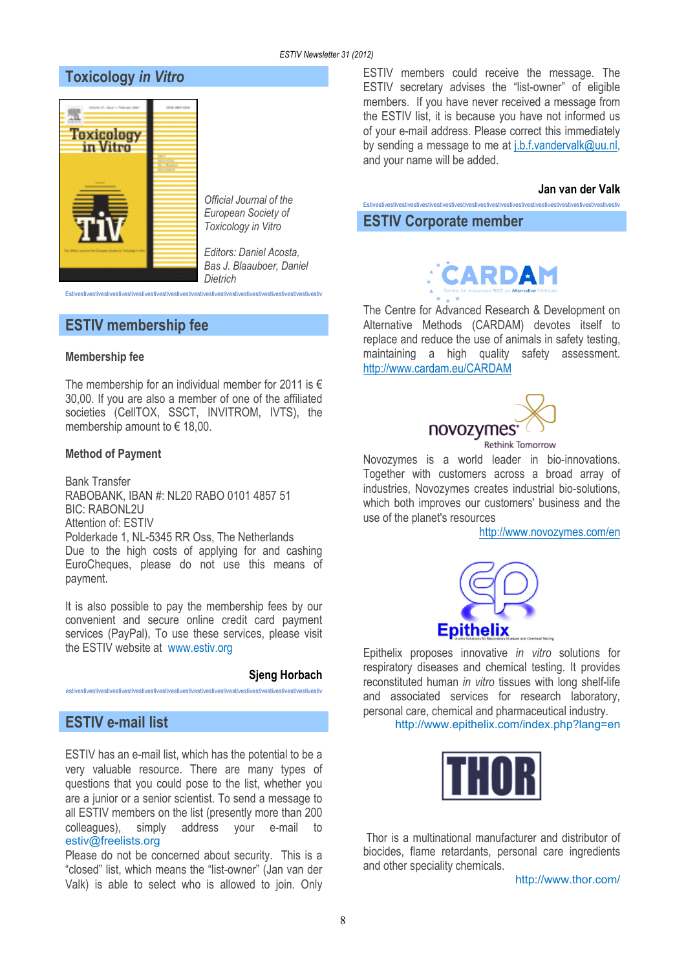# **Toxicology** *in Vitro*



*Official Journal of the European Society of Toxicology in Vitro* 

*Editors: Daniel Acosta, Bas J. Blaauboer, Daniel Dietrich* 

Estivestivestivestivestivestivestivestivestivestivestivestivestivestivestivestivestivestivestivestivestivestiv

## **ESTIV membership fee**

#### **Membership fee**

The membership for an individual member for 2011 is  $\epsilon$ 30,00. If you are also a member of one of the affiliated societies (CellTOX, SSCT, INVITROM, IVTS), the membership amount to  $\in$  18,00.

#### **Method of Payment**

Bank Transfer RABOBANK, IBAN #: NL20 RABO 0101 4857 51 BIC: RABONL2U Attention of: ESTIV Polderkade 1, NL-5345 RR Oss, The Netherlands Due to the high costs of applying for and cashing EuroCheques, please do not use this means of payment.

It is also possible to pay the membership fees by our convenient and secure online credit card payment services (PayPal), To use these services, please visit the ESTIV website at www.estiv.org

estivestivestivestivestivestivestivestivestivestivestivestivestivestivestivestivestivestivestivestivestivestiv

#### **Sjeng Horbach**

# **ESTIV e-mail list**

ESTIV has an e-mail list, which has the potential to be a very valuable resource. There are many types of questions that you could pose to the list, whether you are a junior or a senior scientist. To send a message to all ESTIV members on the list (presently more than 200 colleagues), simply address your e-mail to estiv@freelists.org

Please do not be concerned about security. This is a "closed" list, which means the "list-owner" (Jan van der Valk) is able to select who is allowed to join. Only ESTIV members could receive the message. The ESTIV secretary advises the "list-owner" of eligible members. If you have never received a message from the ESTIV list, it is because you have not informed us of your e-mail address. Please correct this immediately by sending a message to me at j.b.f.vandervalk@uu.nl, and your name will be added.

**Jan van der Valk** 

**ESTIV Corporate member**



Estivestivestivestivestivestivestivestivestivestivestivestivestivestivestivestivestivestivestivestivestivestiv

The Centre for Advanced Research & Development on Alternative Methods (CARDAM) devotes itself to replace and reduce the use of animals in safety testing, maintaining a high quality safety assessment. http://www.cardam.eu/CARDAM



Rethink Tomorrow

Novozymes is a world leader in bio-innovations. Together with customers across a broad array of industries, Novozymes creates industrial bio-solutions, which both improves our customers' business and the use of the planet's resources

http://www.novozymes.com/en



Epithelix proposes innovative *in vitro* solutions for respiratory diseases and chemical testing. It provides reconstituted human *in vitro* tissues with long shelf-life and associated services for research laboratory, personal care, chemical and pharmaceutical industry.

http://www.epithelix.com/index.php?lang=en



 Thor is a multinational manufacturer and distributor of biocides, flame retardants, personal care ingredients and other speciality chemicals.

http://www.thor.com/